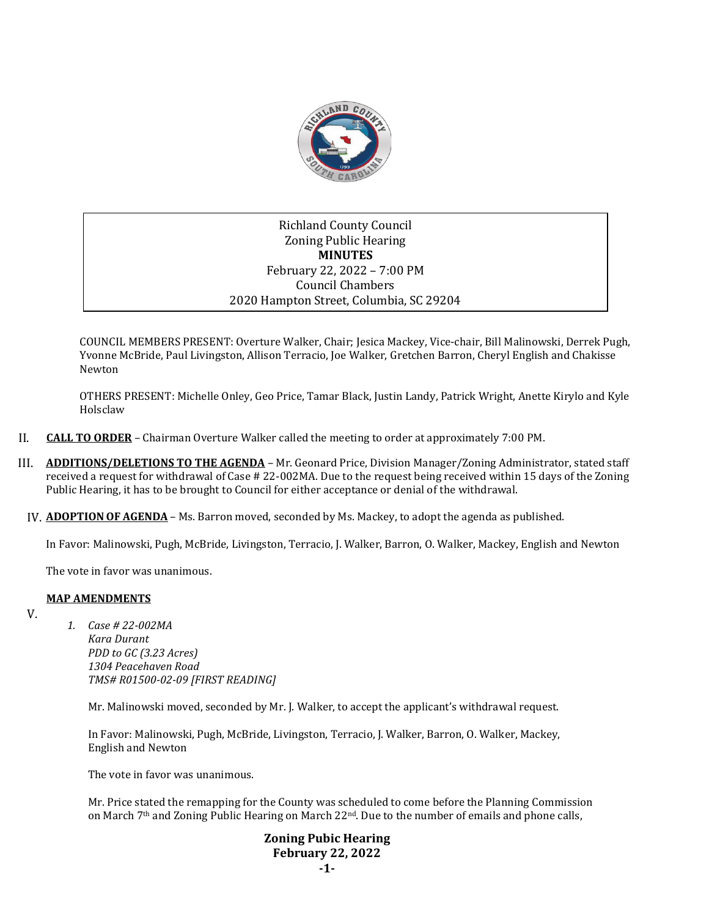

## Richland County Council Zoning Public Hearing **MINUTES** February 22, 2022 – 7:00 PM Council Chambers 2020 Hampton Street, Columbia, SC 29204

COUNCIL MEMBERS PRESENT: Overture Walker, Chair; Jesica Mackey, Vice-chair, Bill Malinowski, Derrek Pugh, Yvonne McBride, Paul Livingston, Allison Terracio, Joe Walker, Gretchen Barron, Cheryl English and Chakisse Newton

OTHERS PRESENT: Michelle Onley, Geo Price, Tamar Black, Justin Landy, Patrick Wright, Anette Kirylo and Kyle Holsclaw

- II. **CALL TO ORDER** Chairman Overture Walker called the meeting to order at approximately 7:00 PM.
- III. **ADDITIONS/DELETIONS TO THE AGENDA** Mr. Geonard Price, Division Manager/Zoning Administrator, stated staff received a request for withdrawal of Case # 22-002MA. Due to the request being received within 15 days of the Zoning Public Hearing, it has to be brought to Council for either acceptance or denial of the withdrawal.
- IV. **ADOPTIONOF AGENDA** Ms. Barron moved, seconded by Ms. Mackey, to adopt the agenda as published.

In Favor: Malinowski, Pugh, McBride, Livingston, Terracio, J. Walker, Barron, O. Walker, Mackey, English and Newton

The vote in favor was unanimous.

## **MAP AMENDMENTS**

V.

*1. Case # 22-002MA Kara Durant PDD to GC (3.23 Acres) 1304 Peacehaven Road TMS# R01500-02-09 [FIRST READING]*

Mr. Malinowski moved, seconded by Mr. J. Walker, to accept the applicant's withdrawal request.

In Favor: Malinowski, Pugh, McBride, Livingston, Terracio, J. Walker, Barron, O. Walker, Mackey, English and Newton

The vote in favor was unanimous.

Mr. Price stated the remapping for the County was scheduled to come before the Planning Commission on March 7<sup>th</sup> and Zoning Public Hearing on March 22<sup>nd</sup>. Due to the number of emails and phone calls,

## **Zoning Pubic Hearing February 22, 2022 -1-**